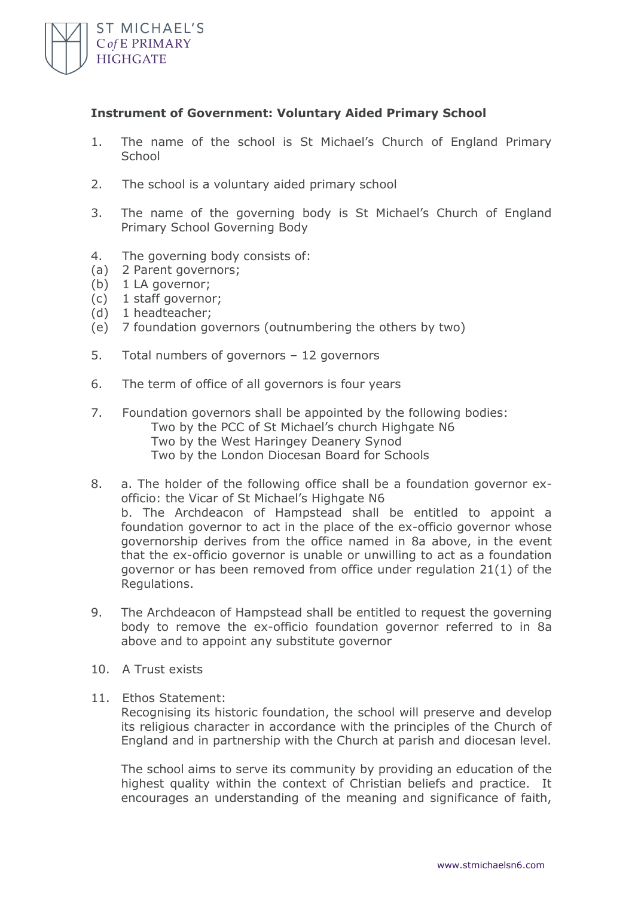

## **Instrument of Government: Voluntary Aided Primary School**

- 1. The name of the school is St Michael's Church of England Primary **School**
- 2. The school is a voluntary aided primary school
- 3. The name of the governing body is St Michael's Church of England Primary School Governing Body
- 4. The governing body consists of:
- (a) 2 Parent governors;
- (b) 1 LA governor;
- (c) 1 staff governor;
- (d) 1 headteacher;
- (e) 7 foundation governors (outnumbering the others by two)
- 5. Total numbers of governors 12 governors
- 6. The term of office of all governors is four years
- 7. Foundation governors shall be appointed by the following bodies: Two by the PCC of St Michael's church Highgate N6 Two by the West Haringey Deanery Synod Two by the London Diocesan Board for Schools
- 8. a. The holder of the following office shall be a foundation governor exofficio: the Vicar of St Michael's Highgate N6 b. The Archdeacon of Hampstead shall be entitled to appoint a foundation governor to act in the place of the ex-officio governor whose governorship derives from the office named in 8a above, in the event that the ex-officio governor is unable or unwilling to act as a foundation governor or has been removed from office under regulation 21(1) of the Regulations.
- 9. The Archdeacon of Hampstead shall be entitled to request the governing body to remove the ex-officio foundation governor referred to in 8a above and to appoint any substitute governor
- 10. A Trust exists
- 11. Ethos Statement:

Recognising its historic foundation, the school will preserve and develop its religious character in accordance with the principles of the Church of England and in partnership with the Church at parish and diocesan level.

The school aims to serve its community by providing an education of the highest quality within the context of Christian beliefs and practice. It encourages an understanding of the meaning and significance of faith,